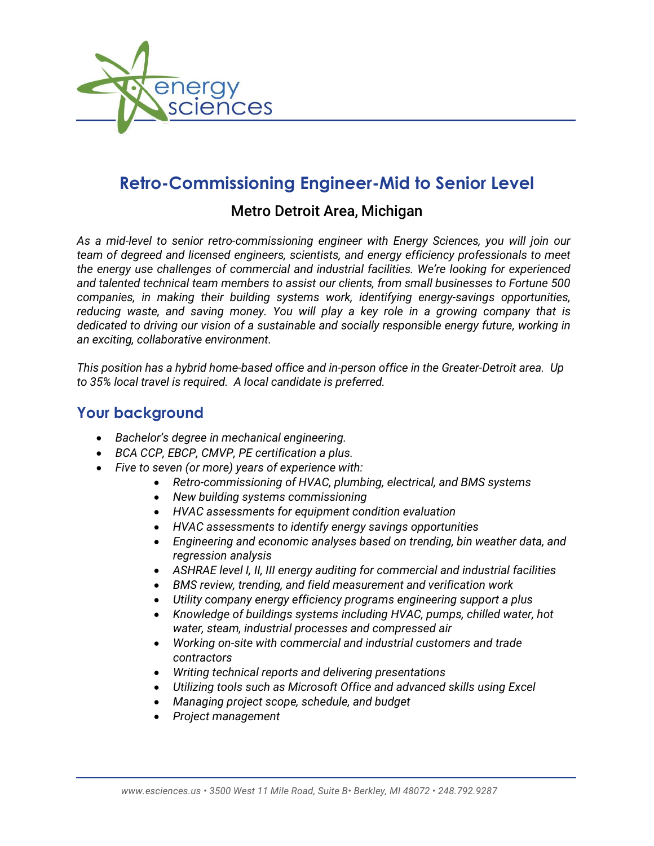

# **Retro-Commissioning Engineer-Mid to Senior Level**

### Metro Detroit Area, Michigan

*As a mid-level to senior retro-commissioning engineer with Energy Sciences, you will join our team of degreed and licensed engineers, scientists, and energy efficiency professionals to meet the energy use challenges of commercial and industrial facilities. We're looking for experienced and talented technical team members to assist our clients, from small businesses to Fortune 500 companies, in making their building systems work, identifying energy-savings opportunities, reducing waste, and saving money. You will play a key role in a growing company that is dedicated to driving our vision of a sustainable and socially responsible energy future, working in an exciting, collaborative environment.* 

*This position has a hybrid home-based office and in-person office in the Greater-Detroit area. Up to 35% local travel is required. A local candidate is preferred.* 

### **Your background**

- *Bachelor's degree in mechanical engineering.*
- *BCA CCP, EBCP, CMVP, PE certification a plus.*
- *Five to seven (or more) years of experience with:* 
	- *Retro-commissioning of HVAC, plumbing, electrical, and BMS systems*
	- *New building systems commissioning*
	- *HVAC assessments for equipment condition evaluation*
	- *HVAC assessments to identify energy savings opportunities*
	- *Engineering and economic analyses based on trending, bin weather data, and regression analysis*
	- *ASHRAE level I, II, III energy auditing for commercial and industrial facilities*
	- *BMS review, trending, and field measurement and verification work*
	- *Utility company energy efficiency programs engineering support a plus*
	- *Knowledge of buildings systems including HVAC, pumps, chilled water, hot water, steam, industrial processes and compressed air*
	- *Working on-site with commercial and industrial customers and trade contractors*
	- *Writing technical reports and delivering presentations*
	- *Utilizing tools such as Microsoft Office and advanced skills using Excel*
	- *Managing project scope, schedule, and budget*
	- *Project management*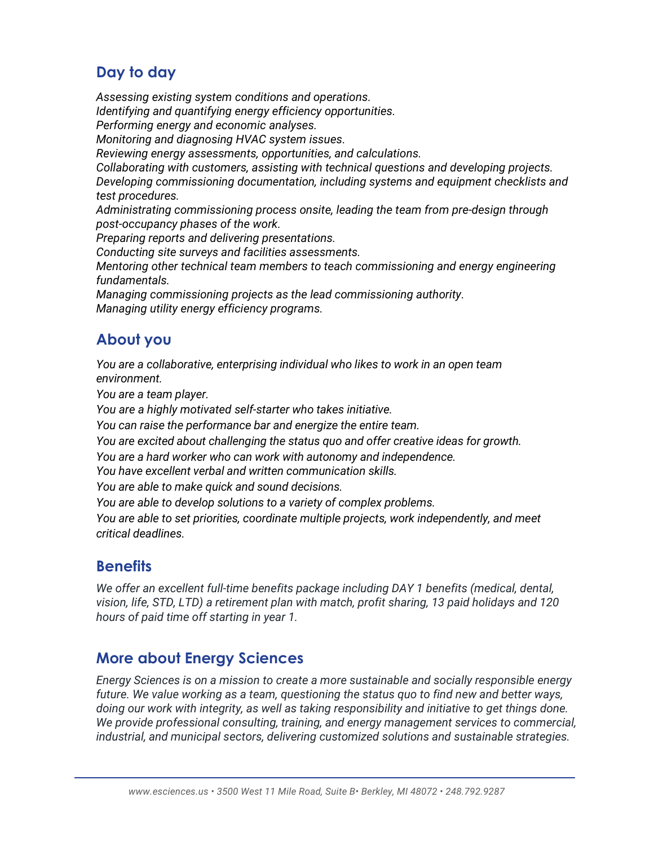## **Day to day**

*Assessing existing system conditions and operations. Identifying and quantifying energy efficiency opportunities. Performing energy and economic analyses. Monitoring and diagnosing HVAC system issues. Reviewing energy assessments, opportunities, and calculations. Collaborating with customers, assisting with technical questions and developing projects. Developing commissioning documentation, including systems and equipment checklists and test procedures. Administrating commissioning process onsite, leading the team from pre-design through post-occupancy phases of the work. Preparing reports and delivering presentations. Conducting site surveys and facilities assessments.*

*Mentoring other technical team members to teach commissioning and energy engineering fundamentals.*

*Managing commissioning projects as the lead commissioning authority. Managing utility energy efficiency programs.*

### **About you**

*You are a collaborative, enterprising individual who likes to work in an open team environment.*

*You are a team player.*

*You are a highly motivated self-starter who takes initiative.* 

*You can raise the performance bar and energize the entire team.*

*You are excited about challenging the status quo and offer creative ideas for growth.*

*You are a hard worker who can work with autonomy and independence.* 

*You have excellent verbal and written communication skills.* 

*You are able to make quick and sound decisions.*

*You are able to develop solutions to a variety of complex problems.* 

*You are able to set priorities, coordinate multiple projects, work independently, and meet critical deadlines.*

### **Benefits**

*We offer an excellent full-time benefits package including DAY 1 benefits (medical, dental, vision, life, STD, LTD) a retirement plan with match, profit sharing, 13 paid holidays and 120 hours of paid time off starting in year 1.* 

### **More about Energy Sciences**

*Energy Sciences is on a mission to create a more sustainable and socially responsible energy future. We value working as a team, questioning the status quo to find new and better ways, doing our work with integrity, as well as taking responsibility and initiative to get things done. We provide professional consulting, training, and energy management services to commercial, industrial, and municipal sectors, delivering customized solutions and sustainable strategies.*